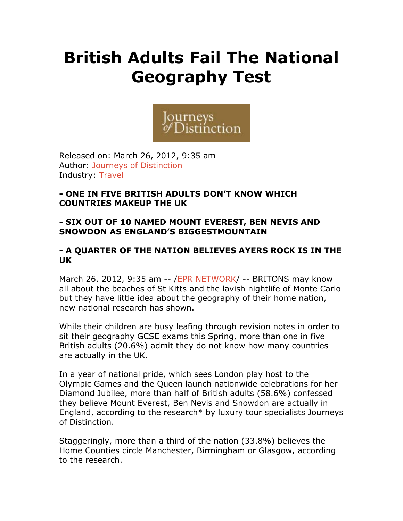# **British Adults Fail The National Geography Test**



Released on: March 26, 2012, 9:35 am Author: Journeys of Distinction Industry: Travel

### **- ONE IN FIVE BRITISH ADULTS DON'T KNOW WHICH COUNTRIES MAKEUP THE UK**

# **- SIX OUT OF 10 NAMED MOUNT EVEREST, BEN NEVIS AND SNOWDON AS ENGLAND'S BIGGESTMOUNTAIN**

## **- A QUARTER OF THE NATION BELIEVES AYERS ROCK IS IN THE UK**

March 26, 2012, 9:35 am -- /EPR NETWORK/ -- BRITONS may know all about the beaches of St Kitts and the lavish nightlife of Monte Carlo but they have little idea about the geography of their home nation, new national research has shown.

While their children are busy leafing through revision notes in order to sit their geography GCSE exams this Spring, more than one in five British adults (20.6%) admit they do not know how many countries are actually in the UK.

In a year of national pride, which sees London play host to the Olympic Games and the Queen launch nationwide celebrations for her Diamond Jubilee, more than half of British adults (58.6%) confessed they believe Mount Everest, Ben Nevis and Snowdon are actually in England, according to the research\* by luxury tour specialists Journeys of Distinction.

Staggeringly, more than a third of the nation (33.8%) believes the Home Counties circle Manchester, Birmingham or Glasgow, according to the research.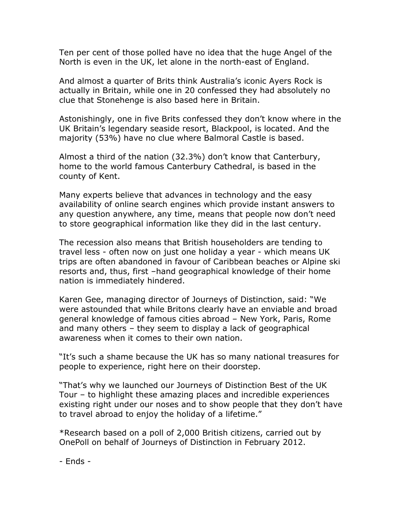Ten per cent of those polled have no idea that the huge Angel of the North is even in the UK, let alone in the north-east of England.

And almost a quarter of Brits think Australia's iconic Ayers Rock is actually in Britain, while one in 20 confessed they had absolutely no clue that Stonehenge is also based here in Britain.

Astonishingly, one in five Brits confessed they don't know where in the UK Britain's legendary seaside resort, Blackpool, is located. And the majority (53%) have no clue where Balmoral Castle is based.

Almost a third of the nation (32.3%) don't know that Canterbury, home to the world famous Canterbury Cathedral, is based in the county of Kent.

Many experts believe that advances in technology and the easy availability of online search engines which provide instant answers to any question anywhere, any time, means that people now don't need to store geographical information like they did in the last century.

The recession also means that British householders are tending to travel less - often now on just one holiday a year - which means UK trips are often abandoned in favour of Caribbean beaches or Alpine ski resorts and, thus, first –hand geographical knowledge of their home nation is immediately hindered.

Karen Gee, managing director of Journeys of Distinction, said: "We were astounded that while Britons clearly have an enviable and broad general knowledge of famous cities abroad – New York, Paris, Rome and many others – they seem to display a lack of geographical awareness when it comes to their own nation.

"It's such a shame because the UK has so many national treasures for people to experience, right here on their doorstep.

"That's why we launched our Journeys of Distinction Best of the UK Tour – to highlight these amazing places and incredible experiences existing right under our noses and to show people that they don't have to travel abroad to enjoy the holiday of a lifetime."

\*Research based on a poll of 2,000 British citizens, carried out by OnePoll on behalf of Journeys of Distinction in February 2012.

- Ends -